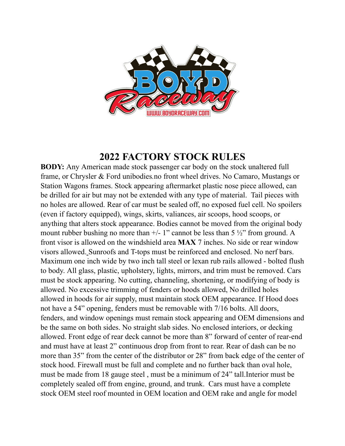

# **2022 FACTORY STOCK RULES**

**BODY:** Any American made stock passenger car body on the stock unaltered full frame, or Chrysler & Ford unibodies*.*no front wheel drives. No Camaro, Mustangs or Station Wagons frames. Stock appearing aftermarket plastic nose piece allowed, can be drilled for air but may not be extended with any type of material. Tail pieces with no holes are allowed. Rear of car must be sealed off, no exposed fuel cell. No spoilers (even if factory equipped), wings, skirts, valiances, air scoops, hood scoops, or anything that alters stock appearance. Bodies cannot be moved from the original body mount rubber bushing no more than  $+/- 1$ " cannot be less than 5  $\frac{1}{2}$ " from ground. A front visor is allowed on the windshield area **MAX** 7 inches. No side or rear window visors allowed. Sunroofs and T-tops must be reinforced and enclosed. No nerf bars. Maximum one inch wide by two inch tall steel or lexan rub rails allowed - bolted flush to body. All glass, plastic, upholstery, lights, mirrors, and trim must be removed. Cars must be stock appearing. No cutting, channeling, shortening, or modifying of body is allowed. No excessive trimming of fenders or hoods allowed, No drilled holes allowed in hoods for air supply, must maintain stock OEM appearance. If Hood does not have a 54" opening, fenders must be removable with 7/16 bolts. All doors, fenders, and window openings must remain stock appearing and OEM dimensions and be the same on both sides. No straight slab sides. No enclosed interiors, or decking allowed. Front edge of rear deck cannot be more than 8" forward of center of rear-end and must have at least 2" continuous drop from front to rear. Rear of dash can be no more than 35" from the center of the distributor or 28" from back edge of the center of stock hood. Firewall must be full and complete and no further back than oval hole, must be made from 18 gauge steel , must be a minimum of 24" tall.Interior must be completely sealed off from engine, ground, and trunk. Cars must have a complete stock OEM steel roof mounted in OEM location and OEM rake and angle for model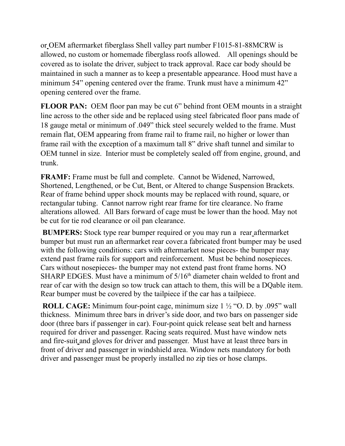or OEM aftermarket fiberglass Shell valley part number F1015-81-88MCRW is allowed, no custom or homemade fiberglass roofs allowed. All openings should be covered as to isolate the driver, subject to track approval. Race car body should be maintained in such a manner as to keep a presentable appearance. Hood must have a minimum 54" opening centered over the frame. Trunk must have a minimum 42" opening centered over the frame.

**FLOOR PAN:** OEM floor pan may be cut 6" behind front OEM mounts in a straight line across to the other side and be replaced using steel fabricated floor pans made of 18 gauge metal or minimum of .049" thick steel securely welded to the frame. Must remain flat, OEM appearing from frame rail to frame rail, no higher or lower than frame rail with the exception of a maximum tall 8" drive shaft tunnel and similar to OEM tunnel in size. Interior must be completely sealed off from engine, ground, and trunk.

**FRAMF:** Frame must be full and complete. Cannot be Widened, Narrowed, Shortened, Lengthened, or be Cut, Bent, or Altered to change Suspension Brackets. Rear of frame behind upper shock mounts may be replaced with round, square, or rectangular tubing. Cannot narrow right rear frame for tire clearance. No frame alterations allowed. All Bars forward of cage must be lower than the hood. May not be cut for tie rod clearance or oil pan clearance.

**BUMPERS:** Stock type rear bumper required or you may run a rear aftermarket bumper but must run an aftermarket rear cover.a fabricated front bumper may be used with the following conditions: cars with aftermarket nose pieces- the bumper may extend past frame rails for support and reinforcement. Must be behind nosepieces. Cars without nosepieces- the bumper may not extend past front frame horns. NO SHARP EDGES. Must have a minimum of  $5/16<sup>th</sup>$  diameter chain welded to front and rear of car with the design so tow truck can attach to them, this will be a DQable item. Rear bumper must be covered by the tailpiece if the car has a tailpiece.

**ROLL CAGE:** Minimum four-point cage, minimum size 1 ½ "O. D. by .095" wall thickness. Minimum three bars in driver's side door, and two bars on passenger side door (three bars if passenger in car). Four-point quick release seat belt and harness required for driver and passenger. Racing seats required. Must have window nets and fire-suit and gloves for driver and passenger. Must have at least three bars in front of driver and passenger in windshield area. Window nets mandatory for both driver and passenger must be properly installed no zip ties or hose clamps.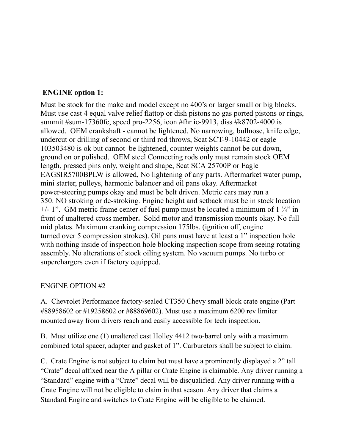#### **ENGINE option 1:**

Must be stock for the make and model except no 400's or larger small or big blocks. Must use cast 4 equal valve relief flattop or dish pistons no gas ported pistons or rings, summit #sum-17360fc, speed pro-2256, icon #fhr ic-9913, diss #k8702-4000 is allowed. OEM crankshaft - cannot be lightened. No narrowing, bullnose, knife edge, undercut or drilling of second or third rod throws, Scat SCT-9-10442 or eagle 103503480 is ok but cannot be lightened, counter weights cannot be cut down, ground on or polished. OEM steel Connecting rods only must remain stock OEM length, pressed pins only, weight and shape, Scat SCA 25700P or Eagle EAGSIR5700BPLW is allowed, No lightening of any parts. Aftermarket water pump, mini starter, pulleys, harmonic balancer and oil pans okay. Aftermarket power-steering pumps okay and must be belt driven. Metric cars may run a 350. NO stroking or de-stroking. Engine height and setback must be in stock location  $+/- 1$ ". GM metric frame center of fuel pump must be located a minimum of  $1\frac{3}{4}$ " in front of unaltered cross member**.** Solid motor and transmission mounts okay. No full mid plates. Maximum cranking compression 175lbs. (ignition off, engine turned over 5 compression strokes). Oil pans must have at least a 1" inspection hole with nothing inside of inspection hole blocking inspection scope from seeing rotating assembly. No alterations of stock oiling system. No vacuum pumps. No turbo or superchargers even if factory equipped.

#### ENGINE OPTION #2

A. Chevrolet Performance factory-sealed CT350 Chevy small block crate engine (Part #88958602 or #19258602 or #88869602). Must use a maximum 6200 rev limiter mounted away from drivers reach and easily accessible for tech inspection.

B. Must utilize one (1) unaltered cast Holley 4412 two-barrel only with a maximum combined total spacer, adapter and gasket of 1". Carburetors shall be subject to claim.

C. Crate Engine is not subject to claim but must have a prominently displayed a 2" tall "Crate" decal affixed near the A pillar or Crate Engine is claimable. Any driver running a "Standard" engine with a "Crate" decal will be disqualified. Any driver running with a Crate Engine will not be eligible to claim in that season. Any driver that claims a Standard Engine and switches to Crate Engine will be eligible to be claimed.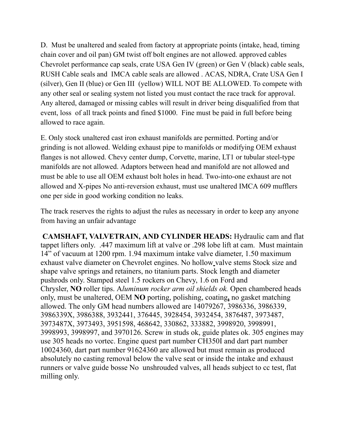D. Must be unaltered and sealed from factory at appropriate points (intake, head, timing chain cover and oil pan) GM twist off bolt engines are not allowed. approved cables Chevrolet performance cap seals, crate USA Gen IV (green) or Gen V (black) cable seals, RUSH Cable seals and IMCA cable seals are allowed . ACAS, NDRA, Crate USA Gen I (silver), Gen II (blue) or Gen III (yellow) WILL NOT BE ALLOWED. To compete with any other seal or sealing system not listed you must contact the race track for approval. Any altered, damaged or missing cables will result in driver being disqualified from that event, loss of all track points and fined \$1000. Fine must be paid in full before being allowed to race again.

E. Only stock unaltered cast iron exhaust manifolds are permitted. Porting and/or grinding is not allowed. Welding exhaust pipe to manifolds or modifying OEM exhaust flanges is not allowed. Chevy center dump, Corvette, marine, LT1 or tubular steel-type manifolds are not allowed. Adaptors between head and manifold are not allowed and must be able to use all OEM exhaust bolt holes in head. Two-into-one exhaust are not allowed and X-pipes No anti-reversion exhaust, must use unaltered IMCA 609 mufflers one per side in good working condition no leaks.

The track reserves the rights to adjust the rules as necessary in order to keep any anyone from having an unfair advantage

**CAMSHAFT, VALVETRAIN, AND CYLINDER HEADS:** Hydraulic cam and flat tappet lifters only. .447 maximum lift at valve or .298 lobe lift at cam. Must maintain 14" of vacuum at 1200 rpm. 1.94 maximum intake valve diameter, 1.50 maximum exhaust valve diameter on Chevrolet engines. No hollow valve stems Stock size and shape valve springs and retainers, no titanium parts. Stock length and diameter pushrods only. Stamped steel 1.5 rockers on Chevy, 1.6 on Ford and Chrysler, **NO** roller tips. A*luminum rocker arm oil shields ok.* Open chambered heads only, must be unaltered, OEM **NO** porting, polishing, coating**,** no gasket matching allowed. The only GM head numbers allowed are 14079267, 3986336, 3986339, 3986339X, 3986388, 3932441, 376445, 3928454, 3932454, 3876487, 3973487, 3973487X, 3973493, 3951598, 468642, 330862, 333882, 3998920, 3998991, 3998993, 3998997, and 3970126. Screw in studs ok, guide plates ok. 305 engines may use 305 heads no vortec. Engine quest part number CH350I and dart part number 10024360, dart part number 91624360 are allowed but must remain as produced absolutely no casting removal below the valve seat or inside the intake and exhaust runners or valve guide bosse No unshrouded valves, all heads subject to cc test, flat milling only.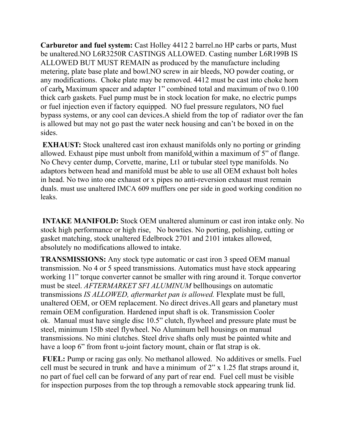**Carburetor and fuel system:** Cast Holley 4412 2 barrel.no HP carbs or parts, Must be unaltered.NO L6R3250R CASTINGS ALLOWED. Casting number L6R199B IS ALLOWED BUT MUST REMAIN as produced by the manufacture including metering, plate base plate and bowl.NO screw in air bleeds, NO powder coating, or any modifications. Choke plate may be removed. 4412 must be cast into choke horn of carb**.** Maximum spacer and adapter 1" combined total and maximum of two 0.100 thick carb gaskets. Fuel pump must be in stock location for make, no electric pumps or fuel injection even if factory equipped. NO fuel pressure regulators, NO fuel bypass systems, or any cool can devices.A shield from the top of radiator over the fan is allowed but may not go past the water neck housing and can't be boxed in on the sides.

**EXHAUST:** Stock unaltered cast iron exhaust manifolds only no porting or grinding allowed. Exhaust pipe must unbolt from manifold within a maximum of 5" of flange. No Chevy center dump, Corvette, marine, Lt1 or tubular steel type manifolds. No adaptors between head and manifold must be able to use all OEM exhaust bolt holes in head. No two into one exhaust or x pipes no anti-reversion exhaust must remain duals. must use unaltered IMCA 609 mufflers one per side in good working condition no leaks.

**INTAKE MANIFOLD:** Stock OEM unaltered aluminum or cast iron intake only. No stock high performance or high rise, No bowties. No porting, polishing, cutting or gasket matching, stock unaltered Edelbrock 2701 and 2101 intakes allowed, absolutely no modifications allowed to intake.

**TRANSMISSIONS:** Any stock type automatic or cast iron 3 speed OEM manual transmission. No 4 or 5 speed transmissions. Automatics must have stock appearing working 11" torque converter cannot be smaller with ring around it. Torque convertor must be steel. *AFTERMARKET SFI ALUMINUM* bellhousings on automatic transmissions *IS ALLOWED, aftermarket pan is allowed.* Flexplate must be full, unaltered OEM, or OEM replacement. No direct drives.All gears and planetary must remain OEM configuration. Hardened input shaft is ok. Transmission Cooler ok. Manual must have single disc 10.5" clutch, flywheel and pressure plate must be steel, minimum 15lb steel flywheel. No Aluminum bell housings on manual transmissions. No mini clutches. Steel drive shafts only must be painted white and have a loop 6" from front u-joint factory mount, chain or flat strap is ok.

**FUEL:** Pump or racing gas only. No methanol allowed. No additives or smells. Fuel cell must be secured in trunk and have a minimum of 2" x 1.25 flat straps around it, no part of fuel cell can be forward of any part of rear end. Fuel cell must be visible for inspection purposes from the top through a removable stock appearing trunk lid.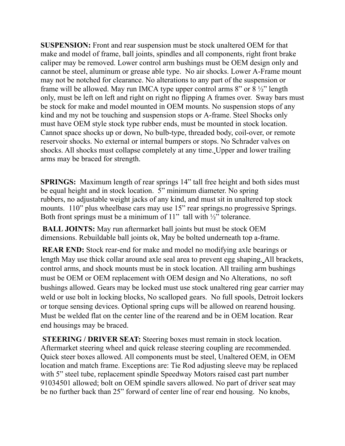**SUSPENSION:** Front and rear suspension must be stock unaltered OEM for that make and model of frame, ball joints, spindles and all components, right front brake caliper may be removed. Lower control arm bushings must be OEM design only and cannot be steel, aluminum or grease able type. No air shocks. Lower A-Frame mount may not be notched for clearance. No alterations to any part of the suspension or frame will be allowed. May run IMCA type upper control arms 8" or 8 ½" length only, must be left on left and right on right no flipping A frames over. Sway bars must be stock for make and model mounted in OEM mounts. No suspension stops of any kind and my not be touching and suspension stops or A-frame. Steel Shocks only must have OEM style stock type rubber ends, must be mounted in stock location. Cannot space shocks up or down, No bulb-type, threaded body, coil-over, or remote reservoir shocks. No external or internal bumpers or stops. No Schrader valves on shocks. All shocks must collapse completely at any time. Upper and lower trailing arms may be braced for strength.

**SPRINGS:** Maximum length of rear springs 14" tall free height and both sides must be equal height and in stock location. 5" minimum diameter. No spring rubbers, no adjustable weight jacks of any kind, and must sit in unaltered top stock mounts. 110" plus wheelbase cars may use 15" rear springs.no progressive Springs. Both front springs must be a minimum of  $11$ " tall with  $\frac{1}{2}$ " tolerance.

**BALL JOINTS:** May run aftermarket ball joints but must be stock OEM dimensions. Rebuildable ball joints ok, May be bolted underneath top a-frame.

**REAR END:** Stock rear-end for make and model no modifying axle bearings or length May use thick collar around axle seal area to prevent egg shaping. All brackets, control arms, and shock mounts must be in stock location. All trailing arm bushings must be OEM or OEM replacement with OEM design and No Alterations, no soft bushings allowed. Gears may be locked must use stock unaltered ring gear carrier may weld or use bolt in locking blocks, No scalloped gears. No full spools, Detroit lockers or torque sensing devices. Optional spring cups will be allowed on rearend housing. Must be welded flat on the center line of the rearend and be in OEM location. Rear end housings may be braced.

**STEERING / DRIVER SEAT:** Steering boxes must remain in stock location. Aftermarket steering wheel and quick release steering coupling are recommended. Quick steer boxes allowed. All components must be steel, Unaltered OEM, in OEM location and match frame. Exceptions are: Tie Rod adjusting sleeve may be replaced with 5" steel tube, replacement spindle Speedway Motors raised cast part number 91034501 allowed; bolt on OEM spindle savers allowed. No part of driver seat may be no further back than 25" forward of center line of rear end housing. No knobs,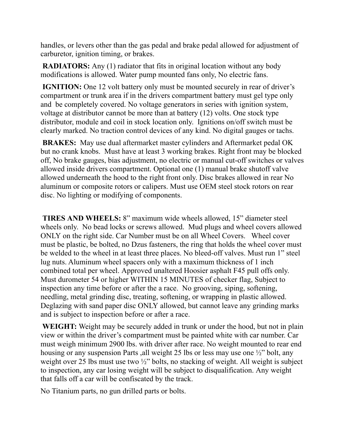handles, or levers other than the gas pedal and brake pedal allowed for adjustment of carburetor, ignition timing, or brakes.

**RADIATORS:** Any (1) radiator that fits in original location without any body modifications is allowed. Water pump mounted fans only, No electric fans.

**IGNITION:** One 12 volt battery only must be mounted securely in rear of driver's compartment or trunk area if in the drivers compartment battery must gel type only and be completely covered. No voltage generators in series with ignition system, voltage at distributor cannot be more than at battery (12) volts. One stock type distributor, module and coil in stock location only. Ignitions on/off switch must be clearly marked. No traction control devices of any kind. No digital gauges or tachs.

**BRAKES:** May use dual aftermarket master cylinders and Aftermarket pedal OK but no crank knobs. Must have at least 3 working brakes. Right front may be blocked off, No brake gauges, bias adjustment, no electric or manual cut-off switches or valves allowed inside drivers compartment. Optional one (1) manual brake shutoff valve allowed underneath the hood to the right front only. Disc brakes allowed in rear No aluminum or composite rotors or calipers. Must use OEM steel stock rotors on rear disc. No lighting or modifying of components.

**TIRES AND WHEELS:** 8" maximum wide wheels allowed, 15" diameter steel wheels only. No bead locks or screws allowed. Mud plugs and wheel covers allowed ONLY on the right side. Car Number must be on all Wheel Covers. Wheel cover must be plastic, be bolted, no Dzus fasteners, the ring that holds the wheel cover must be welded to the wheel in at least three places. No bleed-off valves. Must run 1" steel lug nuts. Aluminum wheel spacers only with a maximum thickness of 1 inch combined total per wheel. Approved unaltered Hoosier asphalt F45 pull offs only. Must durometer 54 or higher WITHIN 15 MINUTES of checker flag, Subject to inspection any time before or after the a race. No grooving, siping, softening, needling, metal grinding disc, treating, softening, or wrapping in plastic allowed. Deglazing with sand paper disc ONLY allowed, but cannot leave any grinding marks and is subject to inspection before or after a race.

**WEIGHT:** Weight may be securely added in trunk or under the hood, but not in plain view or within the driver's compartment must be painted white with car number. Car must weigh minimum 2900 lbs. with driver after race. No weight mounted to rear end housing or any suspension Parts, all weight 25 lbs or less may use one  $\frac{1}{2}$  bolt, any weight over 25 lbs must use two  $\frac{1}{2}$  bolts, no stacking of weight. All weight is subject to inspection, any car losing weight will be subject to disqualification. Any weight that falls off a car will be confiscated by the track.

No Titanium parts, no gun drilled parts or bolts.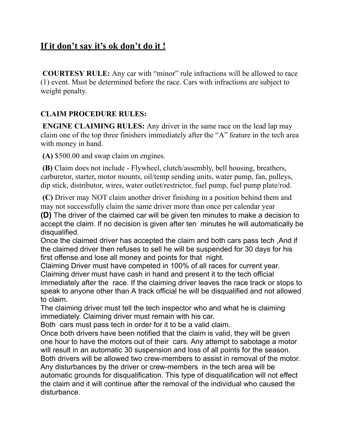# **If it don't say it's ok don't do it !**

**COURTESY RULE:** Any car with "minor" rule infractions will be allowed to race (1) event. Must be determined before the race. Cars with infractions are subject to weight penalty.

### **CLAIM PROCEDURE RULES:**

**ENGINE CLAIMING RULES:** Any driver in the same race on the lead lap may claim one of the top three finishers immediately after the "A" feature in the tech area with money in hand.

**(A)** \$500.00 and swap claim on engines.

**(B)** Claim does not include - Flywheel, clutch/assembly, bell housing, breathers, carburetor, starter, motor mounts, oil/temp sending units, water pump, fan, pulleys, dip stick, distributor, wires, water outlet/restrictor, fuel pump, fuel pump plate/rod.

 **(C)** Driver may NOT claim another driver finishing in a position behind them and may not successfully claim the same driver more than once per calendar year

**(D)** The driver of the claimed car will be given ten minutes to make a decision to accept the claim. If no decision is given after ten minutes he will automatically be disqualified.

Once the claimed driver has accepted the claim and both cars pass tech ,And if the claimed driver then refuses to sell he will be suspended for 30 days for his first offense and lose all money and points for that night.

Claiming Driver must have competed in 100% of all races for current year. Claiming driver must have cash in hand and present it to the tech official immediately after the race. If the claiming driver leaves the race track or stops to speak to anyone other than A track official he will be disqualified and not allowed to claim.

The claiming driver must tell the tech inspector who and what he is claiming immediately. Claiming driver must remain with his car.

Both cars must pass tech in order for it to be a valid claim.

Once both drivers have been notified that the claim is valid, they will be given one hour to have the motors out of their cars. Any attempt to sabotage a motor will result in an automatic 30 suspension and loss of all points for the season. Both drivers will be allowed two crew-members to assist in removal of the motor. Any disturbances by the driver or crew-members in the tech area will be automatic grounds for disqualification. This type of disqualification will not effect the claim and it will continue after the removal of the individual who caused the disturbance.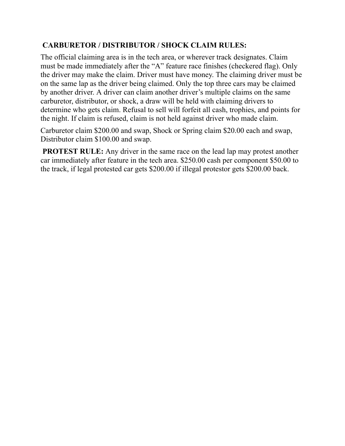## **CARBURETOR / DISTRIBUTOR / SHOCK CLAIM RULES:**

The official claiming area is in the tech area, or wherever track designates. Claim must be made immediately after the "A" feature race finishes (checkered flag). Only the driver may make the claim. Driver must have money. The claiming driver must be on the same lap as the driver being claimed. Only the top three cars may be claimed by another driver. A driver can claim another driver's multiple claims on the same carburetor, distributor, or shock, a draw will be held with claiming drivers to determine who gets claim. Refusal to sell will forfeit all cash, trophies, and points for the night. If claim is refused, claim is not held against driver who made claim.

Carburetor claim \$200.00 and swap, Shock or Spring claim \$20.00 each and swap, Distributor claim \$100.00 and swap.

**PROTEST RULE:** Any driver in the same race on the lead lap may protest another car immediately after feature in the tech area. \$250.00 cash per component \$50.00 to the track, if legal protested car gets \$200.00 if illegal protestor gets \$200.00 back.